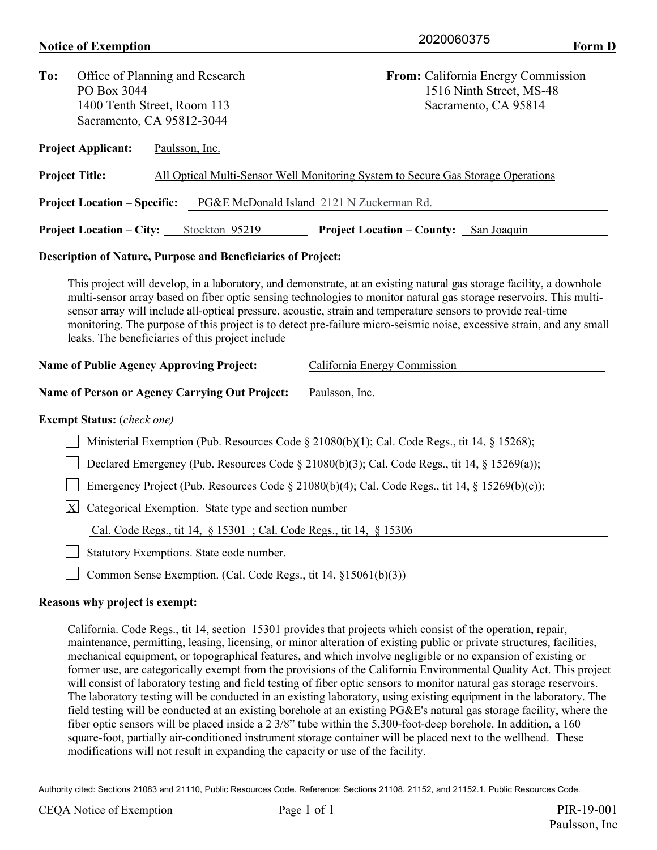## **Notice of Exemption** Form D

| Office of Planning and Research                                                                    |                                          |                                   | From: California Energy Commission<br>1516 Ninth Street, MS-48                                                                                                                                                                                                                                                                                                                                                                                                                                                                                                                                                                                                                                                                |  |  |  |
|----------------------------------------------------------------------------------------------------|------------------------------------------|-----------------------------------|-------------------------------------------------------------------------------------------------------------------------------------------------------------------------------------------------------------------------------------------------------------------------------------------------------------------------------------------------------------------------------------------------------------------------------------------------------------------------------------------------------------------------------------------------------------------------------------------------------------------------------------------------------------------------------------------------------------------------------|--|--|--|
|                                                                                                    |                                          |                                   | Sacramento, CA 95814                                                                                                                                                                                                                                                                                                                                                                                                                                                                                                                                                                                                                                                                                                          |  |  |  |
| <b>Project Applicant:</b>                                                                          |                                          |                                   |                                                                                                                                                                                                                                                                                                                                                                                                                                                                                                                                                                                                                                                                                                                               |  |  |  |
| <b>Project Title:</b>                                                                              |                                          |                                   | All Optical Multi-Sensor Well Monitoring System to Secure Gas Storage Operations                                                                                                                                                                                                                                                                                                                                                                                                                                                                                                                                                                                                                                              |  |  |  |
|                                                                                                    |                                          |                                   | PG&E McDonald Island 2121 N Zuckerman Rd.                                                                                                                                                                                                                                                                                                                                                                                                                                                                                                                                                                                                                                                                                     |  |  |  |
|                                                                                                    |                                          |                                   | <b>Project Location – County:</b> San Joaquin                                                                                                                                                                                                                                                                                                                                                                                                                                                                                                                                                                                                                                                                                 |  |  |  |
|                                                                                                    |                                          |                                   |                                                                                                                                                                                                                                                                                                                                                                                                                                                                                                                                                                                                                                                                                                                               |  |  |  |
|                                                                                                    |                                          |                                   | multi-sensor array based on fiber optic sensing technologies to monitor natural gas storage reservoirs. This multi-<br>sensor array will include all-optical pressure, acoustic, strain and temperature sensors to provide real-time<br>monitoring. The purpose of this project is to detect pre-failure micro-seismic noise, excessive strain, and any small<br>California Energy Commission                                                                                                                                                                                                                                                                                                                                 |  |  |  |
|                                                                                                    |                                          |                                   | Paulsson, Inc.                                                                                                                                                                                                                                                                                                                                                                                                                                                                                                                                                                                                                                                                                                                |  |  |  |
|                                                                                                    |                                          |                                   |                                                                                                                                                                                                                                                                                                                                                                                                                                                                                                                                                                                                                                                                                                                               |  |  |  |
| Ministerial Exemption (Pub. Resources Code § 21080(b)(1); Cal. Code Regs., tit 14, § 15268);       |                                          |                                   |                                                                                                                                                                                                                                                                                                                                                                                                                                                                                                                                                                                                                                                                                                                               |  |  |  |
| Declared Emergency (Pub. Resources Code $\S$ 21080(b)(3); Cal. Code Regs., tit 14, $\S$ 15269(a)); |                                          |                                   |                                                                                                                                                                                                                                                                                                                                                                                                                                                                                                                                                                                                                                                                                                                               |  |  |  |
| Emergency Project (Pub. Resources Code § 21080(b)(4); Cal. Code Regs., tit 14, § 15269(b)(c));     |                                          |                                   |                                                                                                                                                                                                                                                                                                                                                                                                                                                                                                                                                                                                                                                                                                                               |  |  |  |
| $\mathbf{X}$                                                                                       |                                          |                                   |                                                                                                                                                                                                                                                                                                                                                                                                                                                                                                                                                                                                                                                                                                                               |  |  |  |
|                                                                                                    |                                          |                                   |                                                                                                                                                                                                                                                                                                                                                                                                                                                                                                                                                                                                                                                                                                                               |  |  |  |
|                                                                                                    | Statutory Exemptions. State code number. |                                   |                                                                                                                                                                                                                                                                                                                                                                                                                                                                                                                                                                                                                                                                                                                               |  |  |  |
|                                                                                                    |                                          |                                   |                                                                                                                                                                                                                                                                                                                                                                                                                                                                                                                                                                                                                                                                                                                               |  |  |  |
|                                                                                                    | PO Box 3044                              | <b>Exempt Status:</b> (check one) | 1400 Tenth Street, Room 113<br>Sacramento, CA 95812-3044<br>Paulsson, Inc.<br><b>Project Location – Specific:</b><br>Project Location - City: Stockton 95219<br><b>Description of Nature, Purpose and Beneficiaries of Project:</b><br>This project will develop, in a laboratory, and demonstrate, at an existing natural gas storage facility, a downhole<br>leaks. The beneficiaries of this project include<br><b>Name of Public Agency Approving Project:</b><br><b>Name of Person or Agency Carrying Out Project:</b><br>Categorical Exemption. State type and section number<br>Cal. Code Regs., tit 14, § 15301 ; Cal. Code Regs., tit 14, § 15306<br>Common Sense Exemption. (Cal. Code Regs., tit 14, §15061(b)(3)) |  |  |  |

## **Reasons why project is exempt:**

California. Code Regs., tit 14, section 15301 provides that projects which consist of the operation, repair, maintenance, permitting, leasing, licensing, or minor alteration of existing public or private structures, facilities, mechanical equipment, or topographical features, and which involve negligible or no expansion of existing or former use, are categorically exempt from the provisions of the California Environmental Quality Act. This project will consist of laboratory testing and field testing of fiber optic sensors to monitor natural gas storage reservoirs. The laboratory testing will be conducted in an existing laboratory, using existing equipment in the laboratory. The field testing will be conducted at an existing borehole at an existing PG&E's natural gas storage facility, where the fiber optic sensors will be placed inside a 2 3/8" tube within the 5,300-foot-deep borehole. In addition, a 160 square-foot, partially air-conditioned instrument storage container will be placed next to the wellhead. These modifications will not result in expanding the capacity or use of the facility.

Authority cited: Sections 21083 and 21110, Public Resources Code. Reference: Sections 21108, 21152, and 21152.1, Public Resources Code.